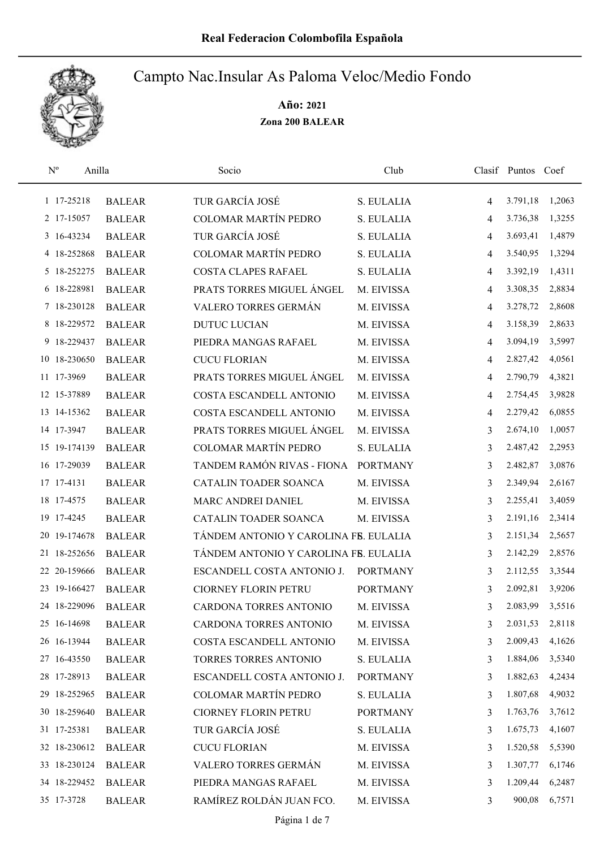

| $\rm N^o$<br>Anilla |               | Socio                                 | Club            |                | Clasif Puntos Coef |        |
|---------------------|---------------|---------------------------------------|-----------------|----------------|--------------------|--------|
| 1 17-25218          | <b>BALEAR</b> | TUR GARCÍA JOSÉ                       | S. EULALIA      | $\overline{4}$ | 3.791,18           | 1,2063 |
| 2 17-15057          | <b>BALEAR</b> | <b>COLOMAR MARTÍN PEDRO</b>           | S. EULALIA      | 4              | 3.736,38           | 1,3255 |
| 3 16-43234          | <b>BALEAR</b> | TUR GARCÍA JOSÉ                       | S. EULALIA      | 4              | 3.693,41           | 1,4879 |
| 4 18-252868         | <b>BALEAR</b> | <b>COLOMAR MARTÍN PEDRO</b>           | S. EULALIA      | 4              | 3.540,95           | 1,3294 |
| 5 18-252275         | <b>BALEAR</b> | <b>COSTA CLAPES RAFAEL</b>            | S. EULALIA      | 4              | 3.392,19           | 1,4311 |
| 6 18-228981         | <b>BALEAR</b> | PRATS TORRES MIGUEL ÁNGEL             | M. EIVISSA      | 4              | 3.308,35           | 2,8834 |
| 7 18-230128         | <b>BALEAR</b> | VALERO TORRES GERMÁN                  | M. EIVISSA      | 4              | 3.278,72           | 2,8608 |
| 8 18-229572         | <b>BALEAR</b> | <b>DUTUC LUCIAN</b>                   | M. EIVISSA      | $\overline{4}$ | 3.158,39           | 2,8633 |
| 9 18-229437         | <b>BALEAR</b> | PIEDRA MANGAS RAFAEL                  | M. EIVISSA      | $\overline{4}$ | 3.094,19           | 3,5997 |
| 10 18-230650        | <b>BALEAR</b> | <b>CUCU FLORIAN</b>                   | M. EIVISSA      | $\overline{4}$ | 2.827,42           | 4,0561 |
| 11 17-3969          | <b>BALEAR</b> | PRATS TORRES MIGUEL ÁNGEL             | M. EIVISSA      | 4              | 2.790,79           | 4,3821 |
| 12 15-37889         | <b>BALEAR</b> | COSTA ESCANDELL ANTONIO               | M. EIVISSA      | 4              | 2.754,45           | 3,9828 |
| 13 14-15362         | <b>BALEAR</b> | COSTA ESCANDELL ANTONIO               | M. EIVISSA      | 4              | 2.279,42           | 6,0855 |
| 14 17-3947          | <b>BALEAR</b> | PRATS TORRES MIGUEL ANGEL             | M. EIVISSA      | 3              | 2.674,10           | 1,0057 |
| 15 19-174139        | <b>BALEAR</b> | COLOMAR MARTÍN PEDRO                  | S. EULALIA      | 3              | 2.487,42           | 2,2953 |
| 16 17-29039         | <b>BALEAR</b> | TANDEM RAMÓN RIVAS - FIONA            | <b>PORTMANY</b> | 3              | 2.482,87           | 3,0876 |
| 17 17-4131          | <b>BALEAR</b> | CATALIN TOADER SOANCA                 | M. EIVISSA      | 3              | 2.349,94           | 2,6167 |
| 18 17-4575          | <b>BALEAR</b> | MARC ANDREI DANIEL                    | M. EIVISSA      | 3              | 2.255,41           | 3,4059 |
| 19 17-4245          | <b>BALEAR</b> | CATALIN TOADER SOANCA                 | M. EIVISSA      | 3              | 2.191,16           | 2,3414 |
| 20 19-174678        | <b>BALEAR</b> | TÁNDEM ANTONIO Y CAROLINA FB. EULALIA |                 | 3              | 2.151,34           | 2,5657 |
| 21 18-252656        | <b>BALEAR</b> | TÁNDEM ANTONIO Y CAROLINA FB. EULALIA |                 | 3              | 2.142,29           | 2,8576 |
| 22 20-159666        | <b>BALEAR</b> | ESCANDELL COSTA ANTONIO J.            | <b>PORTMANY</b> | 3              | 2.112,55           | 3,3544 |
| 23 19-166427        | <b>BALEAR</b> | <b>CIORNEY FLORIN PETRU</b>           | <b>PORTMANY</b> | 3              | 2.092,81           | 3,9206 |
| 24 18-229096        | <b>BALEAR</b> | CARDONA TORRES ANTONIO                | M. EIVISSA      | 3              | 2.083,99           | 3,5516 |
| 25 16-14698         | <b>BALEAR</b> | CARDONA TORRES ANTONIO                | M. EIVISSA      | 3              | 2.031,53           | 2,8118 |
| 26 16-13944         | <b>BALEAR</b> | COSTA ESCANDELL ANTONIO               | M. EIVISSA      | 3              | 2.009,43           | 4,1626 |
| 27 16-43550         | <b>BALEAR</b> | TORRES TORRES ANTONIO                 | S. EULALIA      | 3              | 1.884,06           | 3,5340 |
| 28 17-28913         | <b>BALEAR</b> | ESCANDELL COSTA ANTONIO J.            | <b>PORTMANY</b> | 3              | 1.882,63           | 4,2434 |
| 29 18-252965        | <b>BALEAR</b> | COLOMAR MARTÍN PEDRO                  | S. EULALIA      | 3              | 1.807,68           | 4,9032 |
| 30 18-259640        | <b>BALEAR</b> | <b>CIORNEY FLORIN PETRU</b>           | <b>PORTMANY</b> | 3              | 1.763,76           | 3,7612 |
| 31 17-25381         | <b>BALEAR</b> | TUR GARCÍA JOSÉ                       | S. EULALIA      | 3              | 1.675,73           | 4,1607 |
| 32 18-230612        | <b>BALEAR</b> | <b>CUCU FLORIAN</b>                   | M. EIVISSA      | 3              | 1.520,58           | 5,5390 |
| 33 18-230124        | <b>BALEAR</b> | VALERO TORRES GERMÁN                  | M. EIVISSA      | 3              | 1.307,77           | 6,1746 |
| 34 18-229452        | <b>BALEAR</b> | PIEDRA MANGAS RAFAEL                  | M. EIVISSA      | 3              | 1.209,44           | 6,2487 |
| 35 17-3728          | <b>BALEAR</b> | RAMÍREZ ROLDÁN JUAN FCO.              | M. EIVISSA      | 3              | 900,08             | 6,7571 |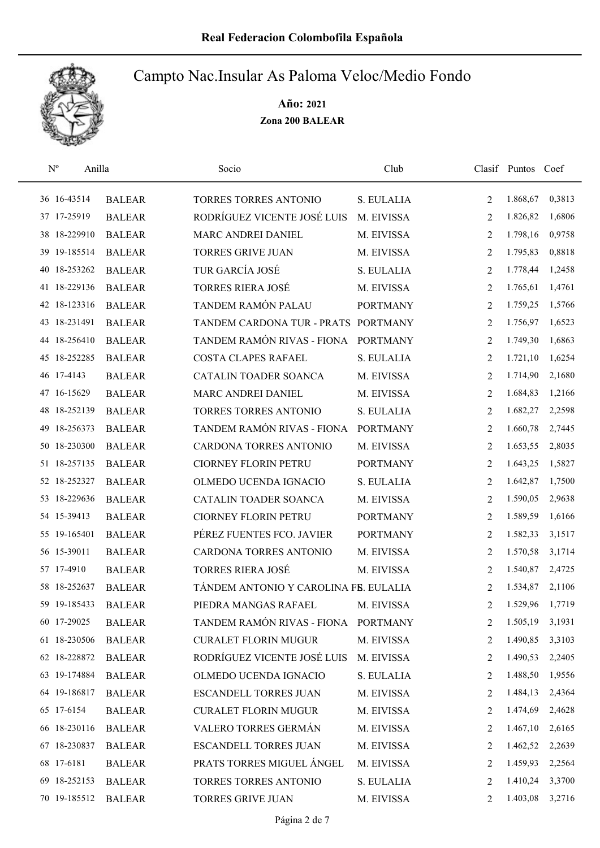

| $N^{o}$      | Anilla       |               | Socio                                 | Club            |                | Clasif Puntos Coef |                 |
|--------------|--------------|---------------|---------------------------------------|-----------------|----------------|--------------------|-----------------|
| 36 16-43514  |              | <b>BALEAR</b> | TORRES TORRES ANTONIO                 | S. EULALIA      | 2              | 1.868,67           | 0,3813          |
| 37 17-25919  |              | <b>BALEAR</b> | RODRÍGUEZ VICENTE JOSÉ LUIS           | M. EIVISSA      | 2              | 1.826,82           | 1,6806          |
|              | 38 18-229910 | <b>BALEAR</b> | MARC ANDREI DANIEL                    | M. EIVISSA      | 2              | 1.798,16           | 0,9758          |
|              | 39 19-185514 | <b>BALEAR</b> | <b>TORRES GRIVE JUAN</b>              | M. EIVISSA      | 2              | 1.795,83           | 0,8818          |
|              | 40 18-253262 | <b>BALEAR</b> | TUR GARCÍA JOSÉ                       | S. EULALIA      | 2              | 1.778,44           | 1,2458          |
|              | 41 18-229136 | <b>BALEAR</b> | TORRES RIERA JOSÉ                     | M. EIVISSA      | 2              | 1.765,61           | 1,4761          |
|              | 42 18-123316 | <b>BALEAR</b> | TANDEM RAMÓN PALAU                    | <b>PORTMANY</b> | 2              | 1.759,25           | 1,5766          |
| 43 18-231491 |              | <b>BALEAR</b> | TANDEM CARDONA TUR - PRATS            | <b>PORTMANY</b> | 2              | 1.756,97           | 1,6523          |
|              | 44 18-256410 | <b>BALEAR</b> | TANDEM RAMÓN RIVAS - FIONA            | <b>PORTMANY</b> | 2              | 1.749,30           | 1,6863          |
|              | 45 18-252285 | <b>BALEAR</b> | COSTA CLAPES RAFAEL                   | S. EULALIA      | 2              | 1.721,10           | 1,6254          |
| 46 17-4143   |              | <b>BALEAR</b> | CATALIN TOADER SOANCA                 | M. EIVISSA      | 2              | 1.714,90           | 2,1680          |
| 47 16-15629  |              | <b>BALEAR</b> | <b>MARC ANDREI DANIEL</b>             | M. EIVISSA      | 2              | 1.684,83           | 1,2166          |
|              | 48 18-252139 | <b>BALEAR</b> | <b>TORRES TORRES ANTONIO</b>          | S. EULALIA      | 2              | 1.682,27           | 2,2598          |
| 49           | 18-256373    | <b>BALEAR</b> | TANDEM RAMÓN RIVAS - FIONA            | <b>PORTMANY</b> | $\overline{2}$ | 1.660,78           | 2,7445          |
|              | 50 18-230300 | <b>BALEAR</b> | CARDONA TORRES ANTONIO                | M. EIVISSA      | $\overline{2}$ | 1.653,55           | 2,8035          |
|              | 51 18-257135 | <b>BALEAR</b> | <b>CIORNEY FLORIN PETRU</b>           | <b>PORTMANY</b> | 2              | 1.643,25           | 1,5827          |
|              | 52 18-252327 | <b>BALEAR</b> | OLMEDO UCENDA IGNACIO                 | S. EULALIA      | 2              | 1.642,87           | 1,7500          |
|              | 53 18-229636 | <b>BALEAR</b> | CATALIN TOADER SOANCA                 | M. EIVISSA      | 2              | 1.590,05           | 2,9638          |
| 54 15-39413  |              | <b>BALEAR</b> | <b>CIORNEY FLORIN PETRU</b>           | <b>PORTMANY</b> | 2              | 1.589,59           | 1,6166          |
| 55 19-165401 |              | <b>BALEAR</b> | PÉREZ FUENTES FCO. JAVIER             | <b>PORTMANY</b> | 2              | 1.582,33           | 3,1517          |
| 56 15-39011  |              | <b>BALEAR</b> | CARDONA TORRES ANTONIO                | M. EIVISSA      | 2              | 1.570,58           | 3,1714          |
| 57 17-4910   |              | <b>BALEAR</b> | <b>TORRES RIERA JOSÉ</b>              | M. EIVISSA      | 2              | 1.540,87           | 2,4725          |
|              | 58 18-252637 | <b>BALEAR</b> | TÁNDEM ANTONIO Y CAROLINA FB. EULALIA |                 | 2              | 1.534,87           | 2,1106          |
|              | 59 19-185433 | <b>BALEAR</b> | PIEDRA MANGAS RAFAEL                  | M. EIVISSA      | $\overline{2}$ | 1.529,96           | 1,7719          |
| 60 17-29025  |              | <b>BALEAR</b> | TANDEM RAMÓN RIVAS - FIONA PORTMANY   |                 | 2              | 1.505,19           | 3,1931          |
|              | 61 18-230506 | <b>BALEAR</b> | <b>CURALET FLORIN MUGUR</b>           | M. EIVISSA      | 2              | 1.490,85           | 3,3103          |
|              | 62 18-228872 | <b>BALEAR</b> | RODRÍGUEZ VICENTE JOSÉ LUIS           | M. EIVISSA      | 2              | 1.490,53           | 2,2405          |
|              | 63 19-174884 | <b>BALEAR</b> | OLMEDO UCENDA IGNACIO                 | S. EULALIA      | 2              | 1.488,50           | 1,9556          |
|              | 64 19-186817 | <b>BALEAR</b> | ESCANDELL TORRES JUAN                 | M. EIVISSA      | 2              | 1.484,13           | 2,4364          |
| 65 17-6154   |              | <b>BALEAR</b> | <b>CURALET FLORIN MUGUR</b>           | M. EIVISSA      | 2              | 1.474,69           | 2,4628          |
|              | 66 18-230116 | <b>BALEAR</b> | VALERO TORRES GERMÁN                  | M. EIVISSA      | 2              | 1.467,10           | 2,6165          |
|              | 67 18-230837 | <b>BALEAR</b> | <b>ESCANDELL TORRES JUAN</b>          | M. EIVISSA      | 2              |                    | 1.462,52 2,2639 |
| 68 17-6181   |              | <b>BALEAR</b> | PRATS TORRES MIGUEL ÁNGEL             | M. EIVISSA      | 2              | 1.459,93           | 2,2564          |
|              | 69 18-252153 | <b>BALEAR</b> | TORRES TORRES ANTONIO                 | S. EULALIA      | 2              | 1.410,24           | 3,3700          |
|              | 70 19-185512 | <b>BALEAR</b> | TORRES GRIVE JUAN                     | M. EIVISSA      | 2              | 1.403,08           | 3,2716          |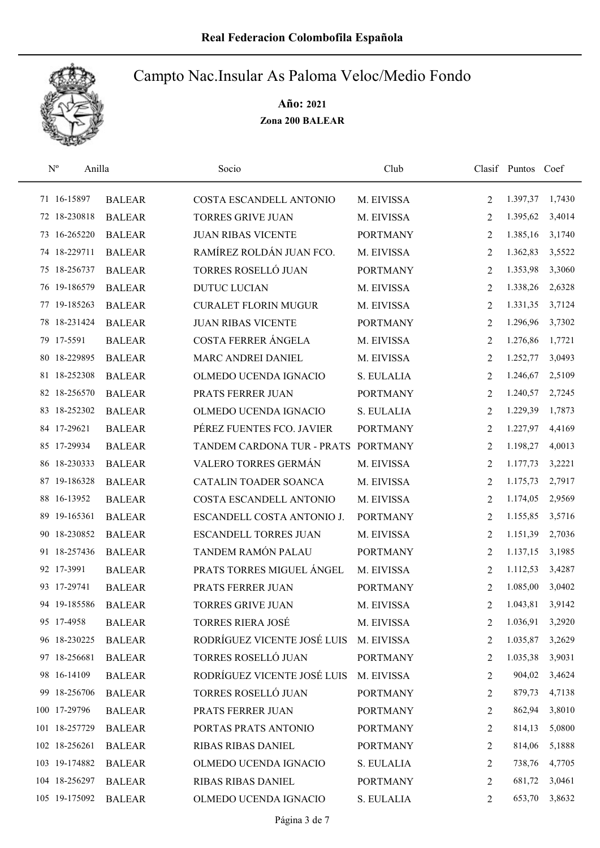

| $\mathbf{N}^{\text{o}}$<br>Anilla |               | Socio                        | Club            |                | Clasif Puntos Coef |        |
|-----------------------------------|---------------|------------------------------|-----------------|----------------|--------------------|--------|
| 71 16-15897                       | <b>BALEAR</b> | COSTA ESCANDELL ANTONIO      | M. EIVISSA      | 2              | 1.397,37           | 1,7430 |
| 72 18-230818                      | <b>BALEAR</b> | <b>TORRES GRIVE JUAN</b>     | M. EIVISSA      | 2              | 1.395,62           | 3,4014 |
| 73 16-265220                      | <b>BALEAR</b> | <b>JUAN RIBAS VICENTE</b>    | <b>PORTMANY</b> | 2              | 1.385,16           | 3,1740 |
| 74 18-229711                      | <b>BALEAR</b> | RAMÍREZ ROLDÁN JUAN FCO.     | M. EIVISSA      | 2              | 1.362,83           | 3,5522 |
| 75 18-256737                      | <b>BALEAR</b> | TORRES ROSELLÓ JUAN          | <b>PORTMANY</b> | 2              | 1.353,98           | 3,3060 |
| 76 19-186579                      | <b>BALEAR</b> | <b>DUTUC LUCIAN</b>          | M. EIVISSA      | 2              | 1.338,26           | 2,6328 |
| 77 19-185263                      | <b>BALEAR</b> | <b>CURALET FLORIN MUGUR</b>  | M. EIVISSA      | 2              | 1.331,35           | 3,7124 |
| 78 18-231424                      | <b>BALEAR</b> | <b>JUAN RIBAS VICENTE</b>    | <b>PORTMANY</b> | 2              | 1.296,96           | 3,7302 |
| 79 17-5591                        | <b>BALEAR</b> | <b>COSTA FERRER ÁNGELA</b>   | M. EIVISSA      | 2              | 1.276,86           | 1,7721 |
| 80 18-229895                      | <b>BALEAR</b> | MARC ANDREI DANIEL           | M. EIVISSA      | 2              | 1.252,77           | 3,0493 |
| 81 18-252308                      | <b>BALEAR</b> | OLMEDO UCENDA IGNACIO        | S. EULALIA      | 2              | 1.246,67           | 2,5109 |
| 82 18-256570                      | <b>BALEAR</b> | PRATS FERRER JUAN            | <b>PORTMANY</b> | 2              | 1.240,57           | 2,7245 |
| 83 18-252302                      | <b>BALEAR</b> | OLMEDO UCENDA IGNACIO        | S. EULALIA      | 2              | 1.229,39           | 1,7873 |
| 84 17-29621                       | <b>BALEAR</b> | PÉREZ FUENTES FCO. JAVIER    | <b>PORTMANY</b> | 2              | 1.227,97           | 4,4169 |
| 85 17-29934                       | <b>BALEAR</b> | TANDEM CARDONA TUR - PRATS   | <b>PORTMANY</b> | $\overline{2}$ | 1.198,27           | 4,0013 |
| 86 18-230333                      | <b>BALEAR</b> | VALERO TORRES GERMÁN         | M. EIVISSA      | 2              | 1.177,73           | 3,2221 |
| 87 19-186328                      | <b>BALEAR</b> | CATALIN TOADER SOANCA        | M. EIVISSA      | 2              | 1.175,73           | 2,7917 |
| 88 16-13952                       | <b>BALEAR</b> | COSTA ESCANDELL ANTONIO      | M. EIVISSA      | 2              | 1.174,05           | 2,9569 |
| 89 19-165361                      | <b>BALEAR</b> | ESCANDELL COSTA ANTONIO J.   | <b>PORTMANY</b> | 2              | 1.155,85           | 3,5716 |
| 90 18-230852                      | <b>BALEAR</b> | <b>ESCANDELL TORRES JUAN</b> | M. EIVISSA      | 2              | 1.151,39           | 2,7036 |
| 91 18-257436                      | <b>BALEAR</b> | <b>TANDEM RAMÓN PALAU</b>    | <b>PORTMANY</b> | 2              | 1.137,15           | 3,1985 |
| 92 17-3991                        | <b>BALEAR</b> | PRATS TORRES MIGUEL ÁNGEL    | M. EIVISSA      | 2              | 1.112,53           | 3,4287 |
| 93 17-29741                       | <b>BALEAR</b> | PRATS FERRER JUAN            | <b>PORTMANY</b> | 2              | 1.085,00           | 3,0402 |
| 94 19-185586                      | <b>BALEAR</b> | <b>TORRES GRIVE JUAN</b>     | M. EIVISSA      | $\overline{2}$ | 1.043,81           | 3,9142 |
| 95 17-4958                        | <b>BALEAR</b> | <b>TORRES RIERA JOSÉ</b>     | M. EIVISSA      | 2              | 1.036,91           | 3,2920 |
| 96 18-230225                      | <b>BALEAR</b> | RODRÍGUEZ VICENTE JOSÉ LUIS  | M. EIVISSA      | 2              | 1.035,87           | 3,2629 |
| 97 18-256681                      | <b>BALEAR</b> | TORRES ROSELLÓ JUAN          | <b>PORTMANY</b> | 2              | 1.035,38           | 3,9031 |
| 98 16-14109                       | <b>BALEAR</b> | RODRÍGUEZ VICENTE JOSÉ LUIS  | M. EIVISSA      | 2              | 904,02             | 3,4624 |
| 99 18-256706                      | <b>BALEAR</b> | TORRES ROSELLÓ JUAN          | <b>PORTMANY</b> | 2              | 879,73             | 4,7138 |
| 100 17-29796                      | <b>BALEAR</b> | PRATS FERRER JUAN            | <b>PORTMANY</b> | 2              | 862,94             | 3,8010 |
| 101 18-257729                     | <b>BALEAR</b> | PORTAS PRATS ANTONIO         | <b>PORTMANY</b> | 2              | 814,13             | 5,0800 |
| 102 18-256261                     | <b>BALEAR</b> | RIBAS RIBAS DANIEL           | <b>PORTMANY</b> | 2              | 814,06             | 5,1888 |
| 103 19-174882                     | <b>BALEAR</b> | OLMEDO UCENDA IGNACIO        | S. EULALIA      | 2              | 738,76             | 4,7705 |
| 104 18-256297                     | <b>BALEAR</b> | RIBAS RIBAS DANIEL           | <b>PORTMANY</b> | 2              | 681,72             | 3,0461 |
| 105 19-175092                     | <b>BALEAR</b> | OLMEDO UCENDA IGNACIO        | S. EULALIA      | 2              | 653,70             | 3,8632 |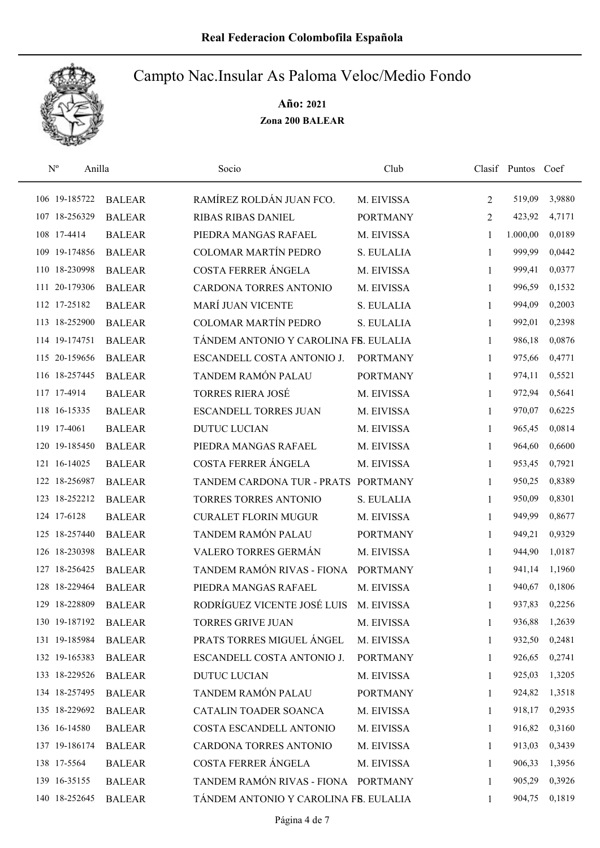

| $\mathbf{N}^{\text{o}}$ | Anilla        | Socio                                 | Club            |                | Clasif Puntos Coef |        |
|-------------------------|---------------|---------------------------------------|-----------------|----------------|--------------------|--------|
| 106 19-185722           | <b>BALEAR</b> | RAMÍREZ ROLDÁN JUAN FCO.              | M. EIVISSA      | $\overline{2}$ | 519,09             | 3,9880 |
| 107 18-256329           | <b>BALEAR</b> | <b>RIBAS RIBAS DANIEL</b>             | <b>PORTMANY</b> | $\overline{2}$ | 423,92             | 4,7171 |
| 108 17-4414             | <b>BALEAR</b> | PIEDRA MANGAS RAFAEL                  | M. EIVISSA      | 1              | 1.000,00           | 0,0189 |
| 109 19-174856           | <b>BALEAR</b> | <b>COLOMAR MARTÍN PEDRO</b>           | S. EULALIA      | 1              | 999,99             | 0,0442 |
| 110 18-230998           | <b>BALEAR</b> | COSTA FERRER ÁNGELA                   | M. EIVISSA      | $\mathbf{1}$   | 999,41             | 0,0377 |
| 111 20-179306           | <b>BALEAR</b> | CARDONA TORRES ANTONIO                | M. EIVISSA      | 1              | 996,59             | 0,1532 |
| 112 17-25182            | <b>BALEAR</b> | MARÍ JUAN VICENTE                     | S. EULALIA      | $\mathbf{1}$   | 994,09             | 0,2003 |
| 113 18-252900           | <b>BALEAR</b> | <b>COLOMAR MARTÍN PEDRO</b>           | S. EULALIA      | 1              | 992,01             | 0,2398 |
| 114 19-174751           | <b>BALEAR</b> | TÁNDEM ANTONIO Y CAROLINA FB. EULALIA |                 | 1              | 986,18             | 0,0876 |
| 115 20-159656           | <b>BALEAR</b> | ESCANDELL COSTA ANTONIO J.            | <b>PORTMANY</b> | 1              | 975,66             | 0,4771 |
| 116 18-257445           | <b>BALEAR</b> | TANDEM RAMÓN PALAU                    | <b>PORTMANY</b> | 1              | 974,11             | 0,5521 |
| 117 17-4914             | <b>BALEAR</b> | <b>TORRES RIERA JOSÉ</b>              | M. EIVISSA      | 1              | 972,94             | 0,5641 |
| 118 16-15335            | <b>BALEAR</b> | <b>ESCANDELL TORRES JUAN</b>          | M. EIVISSA      | 1              | 970,07             | 0,6225 |
| 119 17-4061             | <b>BALEAR</b> | <b>DUTUC LUCIAN</b>                   | M. EIVISSA      | 1              | 965,45             | 0,0814 |
| 120 19-185450           | <b>BALEAR</b> | PIEDRA MANGAS RAFAEL                  | M. EIVISSA      | 1              | 964,60             | 0,6600 |
| 121 16-14025            | <b>BALEAR</b> | COSTA FERRER ÁNGELA                   | M. EIVISSA      | 1              | 953,45             | 0,7921 |
| 122 18-256987           | <b>BALEAR</b> | TANDEM CARDONA TUR - PRATS PORTMANY   |                 | 1              | 950,25             | 0,8389 |
| 123 18-252212           | <b>BALEAR</b> | TORRES TORRES ANTONIO                 | S. EULALIA      | $\mathbf{1}$   | 950,09             | 0,8301 |
| 124 17-6128             | <b>BALEAR</b> | <b>CURALET FLORIN MUGUR</b>           | M. EIVISSA      | $\mathbf{1}$   | 949,99             | 0,8677 |
| 125 18-257440           | <b>BALEAR</b> | TANDEM RAMÓN PALAU                    | <b>PORTMANY</b> | $\mathbf{1}$   | 949,21             | 0,9329 |
| 126 18-230398           | <b>BALEAR</b> | VALERO TORRES GERMÁN                  | M. EIVISSA      | 1              | 944,90             | 1,0187 |
| 127 18-256425           | <b>BALEAR</b> | TANDEM RAMÓN RIVAS - FIONA            | <b>PORTMANY</b> | 1              | 941,14             | 1,1960 |
| 128 18-229464           | <b>BALEAR</b> | PIEDRA MANGAS RAFAEL                  | M. EIVISSA      | 1              | 940,67             | 0,1806 |
| 129 18-228809           | <b>BALEAR</b> | RODRÍGUEZ VICENTE JOSÉ LUIS           | M. EIVISSA      | 1              | 937,83             | 0,2256 |
| 130 19-187192           | <b>BALEAR</b> | <b>TORRES GRIVE JUAN</b>              | M. EIVISSA      | 1              | 936,88             | 1,2639 |
| 131 19-185984           | <b>BALEAR</b> | PRATS TORRES MIGUEL ÁNGEL             | M. EIVISSA      | 1              | 932,50             | 0,2481 |
| 132 19-165383           | <b>BALEAR</b> | ESCANDELL COSTA ANTONIO J.            | <b>PORTMANY</b> | 1              | 926,65             | 0,2741 |
| 133 18-229526           | <b>BALEAR</b> | DUTUC LUCIAN                          | M. EIVISSA      | 1              | 925,03             | 1,3205 |
| 134 18-257495           | <b>BALEAR</b> | TANDEM RAMÓN PALAU                    | <b>PORTMANY</b> | 1              | 924,82             | 1,3518 |
| 135 18-229692           | <b>BALEAR</b> | CATALIN TOADER SOANCA                 | M. EIVISSA      | 1              | 918,17             | 0,2935 |
| 136 16-14580            | <b>BALEAR</b> | COSTA ESCANDELL ANTONIO               | M. EIVISSA      | 1              | 916,82             | 0,3160 |
| 137 19-186174           | <b>BALEAR</b> | CARDONA TORRES ANTONIO                | M. EIVISSA      | 1              | 913,03             | 0,3439 |
| 138 17-5564             | <b>BALEAR</b> | COSTA FERRER ÁNGELA                   | M. EIVISSA      | 1              | 906,33             | 1,3956 |
| 139 16-35155            | <b>BALEAR</b> | TANDEM RAMÓN RIVAS - FIONA PORTMANY   |                 | 1              | 905,29             | 0,3926 |
| 140 18-252645           | <b>BALEAR</b> | TÁNDEM ANTONIO Y CAROLINA FB. EULALIA |                 | $\mathbf{1}$   | 904,75             | 0,1819 |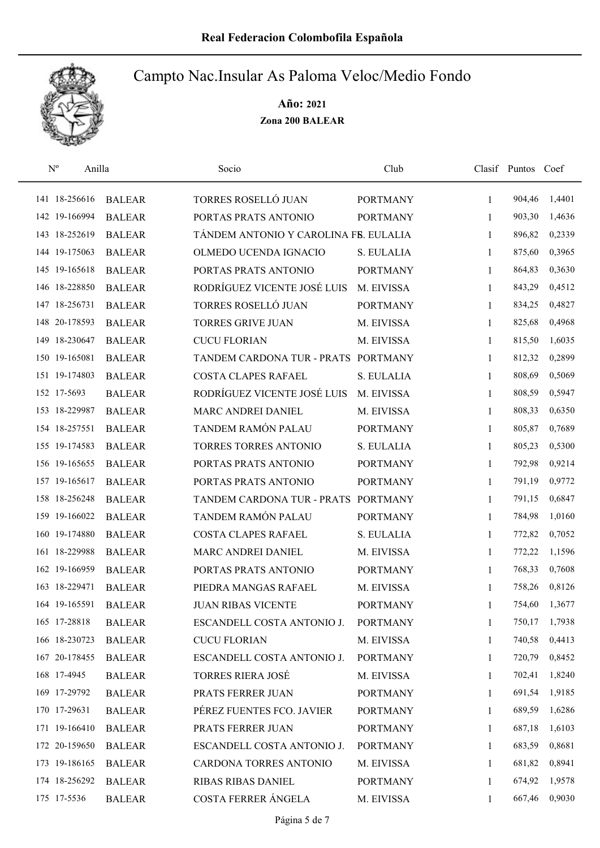

| $N^{\rm o}$   | Anilla        | Socio                                 | Club            |              | Clasif Puntos Coef |        |
|---------------|---------------|---------------------------------------|-----------------|--------------|--------------------|--------|
| 141 18-256616 | <b>BALEAR</b> | TORRES ROSELLÓ JUAN                   | <b>PORTMANY</b> | 1            | 904,46             | 1,4401 |
| 142 19-166994 | <b>BALEAR</b> | PORTAS PRATS ANTONIO                  | <b>PORTMANY</b> | 1            | 903,30             | 1,4636 |
| 143 18-252619 | <b>BALEAR</b> | TÁNDEM ANTONIO Y CAROLINA FB. EULALIA |                 | $\mathbf{1}$ | 896,82             | 0,2339 |
| 144 19-175063 | <b>BALEAR</b> | OLMEDO UCENDA IGNACIO                 | S. EULALIA      | 1            | 875,60             | 0,3965 |
| 145 19-165618 | <b>BALEAR</b> | PORTAS PRATS ANTONIO                  | <b>PORTMANY</b> | $\mathbf{1}$ | 864,83             | 0,3630 |
| 146 18-228850 | <b>BALEAR</b> | RODRÍGUEZ VICENTE JOSÉ LUIS           | M. EIVISSA      | 1            | 843,29             | 0,4512 |
| 147 18-256731 | <b>BALEAR</b> | TORRES ROSELLÓ JUAN                   | <b>PORTMANY</b> | $\mathbf{1}$ | 834,25             | 0,4827 |
| 148 20-178593 | <b>BALEAR</b> | <b>TORRES GRIVE JUAN</b>              | M. EIVISSA      | 1            | 825,68             | 0,4968 |
| 149 18-230647 | <b>BALEAR</b> | <b>CUCU FLORIAN</b>                   | M. EIVISSA      | 1            | 815,50             | 1,6035 |
| 150 19-165081 | <b>BALEAR</b> | TANDEM CARDONA TUR - PRATS PORTMANY   |                 | 1            | 812,32             | 0,2899 |
| 151 19-174803 | <b>BALEAR</b> | <b>COSTA CLAPES RAFAEL</b>            | S. EULALIA      | 1            | 808,69             | 0,5069 |
| 152 17-5693   | <b>BALEAR</b> | RODRÍGUEZ VICENTE JOSÉ LUIS           | M. EIVISSA      | 1            | 808,59             | 0,5947 |
| 153 18-229987 | <b>BALEAR</b> | MARC ANDREI DANIEL                    | M. EIVISSA      | 1            | 808,33             | 0,6350 |
| 154 18-257551 | <b>BALEAR</b> | TANDEM RAMÓN PALAU                    | <b>PORTMANY</b> | 1            | 805,87             | 0,7689 |
| 155 19-174583 | <b>BALEAR</b> | TORRES TORRES ANTONIO                 | S. EULALIA      | 1            | 805,23             | 0,5300 |
| 156 19-165655 | <b>BALEAR</b> | PORTAS PRATS ANTONIO                  | <b>PORTMANY</b> | 1            | 792,98             | 0,9214 |
| 157 19-165617 | <b>BALEAR</b> | PORTAS PRATS ANTONIO                  | <b>PORTMANY</b> | $\mathbf{1}$ | 791,19             | 0,9772 |
| 158 18-256248 | <b>BALEAR</b> | TANDEM CARDONA TUR - PRATS            | <b>PORTMANY</b> | 1            | 791,15             | 0,6847 |
| 159 19-166022 | <b>BALEAR</b> | TANDEM RAMÓN PALAU                    | <b>PORTMANY</b> | 1            | 784,98             | 1,0160 |
| 160 19-174880 | <b>BALEAR</b> | <b>COSTA CLAPES RAFAEL</b>            | S. EULALIA      | 1            | 772,82             | 0,7052 |
| 161 18-229988 | <b>BALEAR</b> | MARC ANDREI DANIEL                    | M. EIVISSA      | $\mathbf{1}$ | 772,22             | 1,1596 |
| 162 19-166959 | <b>BALEAR</b> | PORTAS PRATS ANTONIO                  | <b>PORTMANY</b> | 1            | 768,33             | 0,7608 |
| 163 18-229471 | <b>BALEAR</b> | PIEDRA MANGAS RAFAEL                  | M. EIVISSA      | 1            | 758,26             | 0,8126 |
| 164 19-165591 | <b>BALEAR</b> | <b>JUAN RIBAS VICENTE</b>             | <b>PORTMANY</b> | 1            | 754,60             | 1,3677 |
| 165 17-28818  | <b>BALEAR</b> | ESCANDELL COSTA ANTONIO J.            | <b>PORTMANY</b> | $\mathbf{1}$ | 750,17             | 1,7938 |
| 166 18-230723 | <b>BALEAR</b> | <b>CUCU FLORIAN</b>                   | M. EIVISSA      | 1            | 740,58             | 0,4413 |
| 167 20-178455 | <b>BALEAR</b> | ESCANDELL COSTA ANTONIO J.            | <b>PORTMANY</b> | 1            | 720,79             | 0,8452 |
| 168 17-4945   | <b>BALEAR</b> | <b>TORRES RIERA JOSÉ</b>              | M. EIVISSA      | 1            | 702,41             | 1,8240 |
| 169 17-29792  | <b>BALEAR</b> | PRATS FERRER JUAN                     | <b>PORTMANY</b> | 1            | 691,54             | 1,9185 |
| 170 17-29631  | <b>BALEAR</b> | PÉREZ FUENTES FCO. JAVIER             | <b>PORTMANY</b> | 1            | 689,59             | 1,6286 |
| 171 19-166410 | <b>BALEAR</b> | PRATS FERRER JUAN                     | <b>PORTMANY</b> | 1            | 687,18             | 1,6103 |
| 172 20-159650 | <b>BALEAR</b> | ESCANDELL COSTA ANTONIO J.            | <b>PORTMANY</b> | 1            | 683,59             | 0,8681 |
| 173 19-186165 | <b>BALEAR</b> | CARDONA TORRES ANTONIO                | M. EIVISSA      | 1            | 681,82             | 0,8941 |
| 174 18-256292 | <b>BALEAR</b> | RIBAS RIBAS DANIEL                    | <b>PORTMANY</b> | 1            | 674,92             | 1,9578 |
| 175 17-5536   | <b>BALEAR</b> | COSTA FERRER ÁNGELA                   | M. EIVISSA      | 1            | 667,46             | 0,9030 |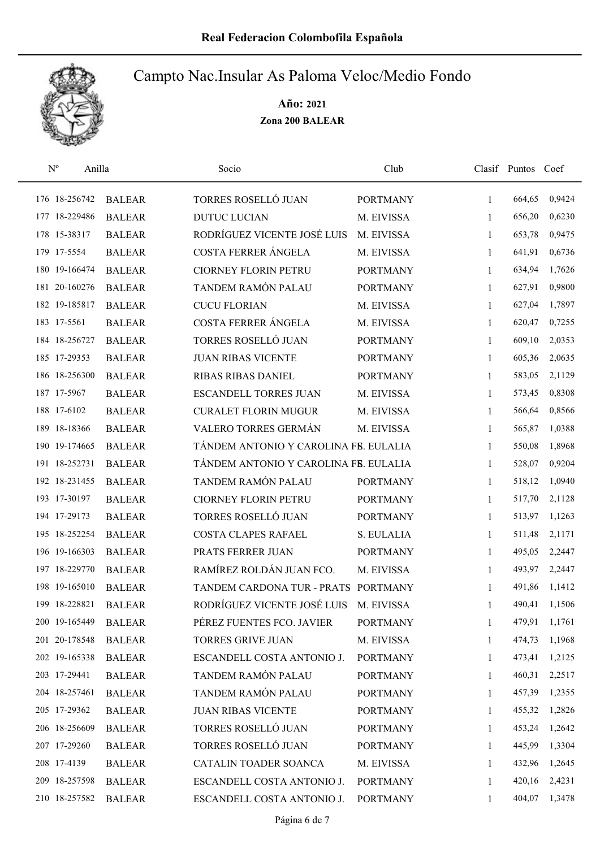

| $\mathrm{N}^{\mathrm{o}}$ | Anilla        | Socio                                 | Club            |              | Clasif Puntos Coef |        |
|---------------------------|---------------|---------------------------------------|-----------------|--------------|--------------------|--------|
| 176 18-256742             | <b>BALEAR</b> | TORRES ROSELLÓ JUAN                   | <b>PORTMANY</b> | 1            | 664,65             | 0,9424 |
| 177 18-229486             | <b>BALEAR</b> | <b>DUTUC LUCIAN</b>                   | M. EIVISSA      | 1            | 656,20             | 0,6230 |
| 178 15-38317              | <b>BALEAR</b> | RODRÍGUEZ VICENTE JOSÉ LUIS           | M. EIVISSA      | 1            | 653,78             | 0,9475 |
| 179 17-5554               | <b>BALEAR</b> | COSTA FERRER ÁNGELA                   | M. EIVISSA      | $\mathbf{1}$ | 641,91             | 0,6736 |
| 180 19-166474             | <b>BALEAR</b> | <b>CIORNEY FLORIN PETRU</b>           | <b>PORTMANY</b> | 1            | 634,94             | 1,7626 |
| 181 20-160276             | <b>BALEAR</b> | TANDEM RAMÓN PALAU                    | <b>PORTMANY</b> | $\mathbf{1}$ | 627,91             | 0,9800 |
| 182 19-185817             | <b>BALEAR</b> | <b>CUCU FLORIAN</b>                   | M. EIVISSA      | 1            | 627,04             | 1,7897 |
| 183 17-5561               | <b>BALEAR</b> | COSTA FERRER ÁNGELA                   | M. EIVISSA      | $\mathbf{1}$ | 620,47             | 0,7255 |
| 184 18-256727             | <b>BALEAR</b> | TORRES ROSELLÓ JUAN                   | <b>PORTMANY</b> | 1            | 609,10             | 2,0353 |
| 185 17-29353              | <b>BALEAR</b> | <b>JUAN RIBAS VICENTE</b>             | <b>PORTMANY</b> | 1            | 605,36             | 2,0635 |
| 186 18-256300             | <b>BALEAR</b> | <b>RIBAS RIBAS DANIEL</b>             | <b>PORTMANY</b> | 1            | 583,05             | 2,1129 |
| 187 17-5967               | <b>BALEAR</b> | <b>ESCANDELL TORRES JUAN</b>          | M. EIVISSA      | 1            | 573,45             | 0,8308 |
| 188 17-6102               | <b>BALEAR</b> | <b>CURALET FLORIN MUGUR</b>           | M. EIVISSA      | 1            | 566,64             | 0,8566 |
| 189 18-18366              | <b>BALEAR</b> | VALERO TORRES GERMÁN                  | M. EIVISSA      | $\mathbf{1}$ | 565,87             | 1,0388 |
| 190 19-174665             | <b>BALEAR</b> | TÁNDEM ANTONIO Y CAROLINA FB. EULALIA |                 | 1            | 550,08             | 1,8968 |
| 191 18-252731             | <b>BALEAR</b> | TÁNDEM ANTONIO Y CAROLINA FB. EULALIA |                 | 1            | 528,07             | 0,9204 |
| 192 18-231455             | <b>BALEAR</b> | TANDEM RAMÓN PALAU                    | <b>PORTMANY</b> | 1            | 518,12             | 1,0940 |
| 193 17-30197              | <b>BALEAR</b> | <b>CIORNEY FLORIN PETRU</b>           | <b>PORTMANY</b> | $\mathbf{1}$ | 517,70             | 2,1128 |
| 194 17-29173              | <b>BALEAR</b> | TORRES ROSELLÓ JUAN                   | <b>PORTMANY</b> | $\mathbf{1}$ | 513,97             | 1,1263 |
| 195 18-252254             | <b>BALEAR</b> | <b>COSTA CLAPES RAFAEL</b>            | S. EULALIA      | 1            | 511,48             | 2,1171 |
| 196 19-166303             | <b>BALEAR</b> | PRATS FERRER JUAN                     | <b>PORTMANY</b> | $\mathbf{1}$ | 495,05             | 2,2447 |
| 197 18-229770             | <b>BALEAR</b> | RAMÍREZ ROLDÁN JUAN FCO.              | M. EIVISSA      | 1            | 493,97             | 2,2447 |
| 198 19-165010             | <b>BALEAR</b> | TANDEM CARDONA TUR - PRATS            | <b>PORTMANY</b> | 1            | 491,86             | 1,1412 |
| 199 18-228821             | <b>BALEAR</b> | RODRÍGUEZ VICENTE JOSÉ LUIS           | M. EIVISSA      | 1            | 490,41             | 1,1506 |
| 200 19-165449             | <b>BALEAR</b> | PÉREZ FUENTES FCO. JAVIER             | <b>PORTMANY</b> | 1            | 479,91             | 1,1761 |
| 201 20-178548             | <b>BALEAR</b> | <b>TORRES GRIVE JUAN</b>              | M. EIVISSA      | 1            | 474,73             | 1,1968 |
| 202 19-165338             | <b>BALEAR</b> | ESCANDELL COSTA ANTONIO J.            | <b>PORTMANY</b> | $\mathbf{1}$ | 473,41             | 1,2125 |
| 203 17-29441              | <b>BALEAR</b> | TANDEM RAMÓN PALAU                    | <b>PORTMANY</b> | 1            | 460,31             | 2,2517 |
| 204 18-257461             | <b>BALEAR</b> | TANDEM RAMÓN PALAU                    | <b>PORTMANY</b> | 1            | 457,39             | 1,2355 |
| 205 17-29362              | <b>BALEAR</b> | <b>JUAN RIBAS VICENTE</b>             | <b>PORTMANY</b> | 1            | 455,32             | 1,2826 |
| 206 18-256609             | <b>BALEAR</b> | TORRES ROSELLÓ JUAN                   | <b>PORTMANY</b> | 1            | 453,24             | 1,2642 |
| 207 17-29260              | <b>BALEAR</b> | TORRES ROSELLÓ JUAN                   | <b>PORTMANY</b> | 1            | 445,99             | 1,3304 |
| 208 17-4139               | <b>BALEAR</b> | CATALIN TOADER SOANCA                 | M. EIVISSA      | 1            | 432,96             | 1,2645 |
| 209 18-257598             | <b>BALEAR</b> | ESCANDELL COSTA ANTONIO J.            | <b>PORTMANY</b> | 1            | 420,16             | 2,4231 |
| 210 18-257582             | <b>BALEAR</b> | ESCANDELL COSTA ANTONIO J.            | <b>PORTMANY</b> | 1            | 404,07             | 1,3478 |